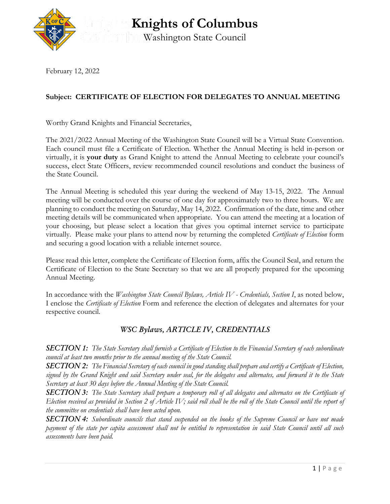

**Knights of Columbus** Washington State Council

February 12, 2022

## **Subject: CERTIFICATE OF ELECTION FOR DELEGATES TO ANNUAL MEETING**

Worthy Grand Knights and Financial Secretaries,

The 2021/2022 Annual Meeting of the Washington State Council will be a Virtual State Convention. Each council must file a Certificate of Election. Whether the Annual Meeting is held in-person or virtually, it is **your duty** as Grand Knight to attend the Annual Meeting to celebrate your council's success, elect State Officers, review recommended council resolutions and conduct the business of the State Council.

The Annual Meeting is scheduled this year during the weekend of May 13-15, 2022. The Annual meeting will be conducted over the course of one day for approximately two to three hours. We are planning to conduct the meeting on Saturday, May 14, 2022. Confirmation of the date, time and other meeting details will be communicated when appropriate. You can attend the meeting at a location of your choosing, but please select a location that gives you optimal internet service to participate virtually. Please make your plans to attend now by returning the completed *Certificate of Election* form and securing a good location with a reliable internet source.

Please read this letter, complete the Certificate of Election form, affix the Council Seal, and return the Certificate of Election to the State Secretary so that we are all properly prepared for the upcoming Annual Meeting.

In accordance with the *Washington State Council Bylaws, Article IV - Credentials, Section I*, as noted below, I enclose the *Certificate of Election* Form and reference the election of delegates and alternates for your respective council.

## *WSC Bylaws, ARTICLE IV, CREDENTIALS*

*SECTION 1: The State Secretary shall furnish a Certificate of Election to the Financial Secretary of each subordinate council at least two months prior to the annual meeting of the State Council.*

*SECTION 2: The Financial Secretary of each council in good standing shall prepare and certify a Certificate of Election, signed by the Grand Knight and said Secretary under seal, for the delegates and alternates, and forward it to the State Secretary at least 30 days before the Annual Meeting of the State Council.*

*SECTION 3: The State Secretary shall prepare a temporary roll of all delegates and alternates on the Certificate of Election received as provided in Section 2 of Article IV; said roll shall be the roll of the State Council until the report of the committee on credentials shall have been acted upon.*

*SECTION 4: Subordinate councils that stand suspended on the books of the Supreme Council or have not made payment of the state per capita assessment shall not be entitled to representation in said State Council until all such assessments have been paid.*